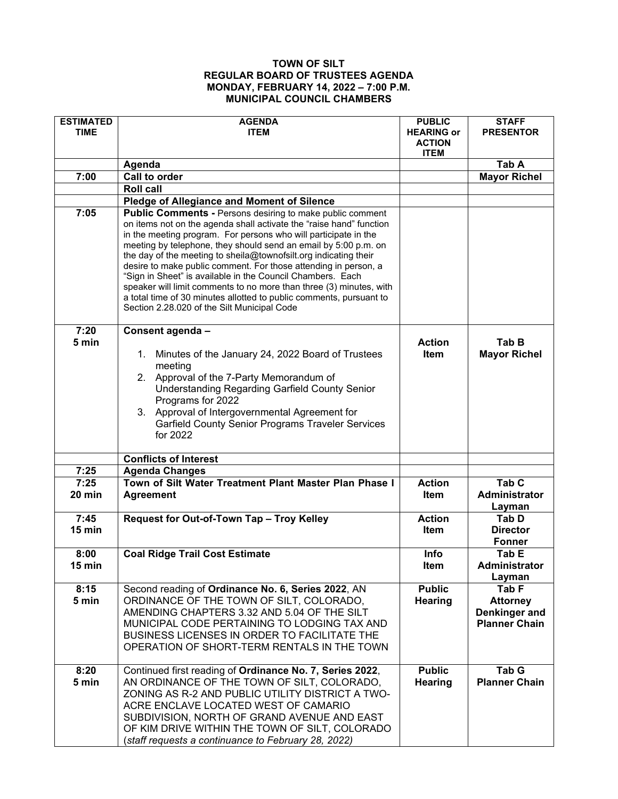## **TOWN OF SILT REGULAR BOARD OF TRUSTEES AGENDA MONDAY, FEBRUARY 14, 2022 – 7:00 P.M. MUNICIPAL COUNCIL CHAMBERS**

| <b>ESTIMATED</b><br><b>TIME</b> | <b>AGENDA</b><br><b>ITEM</b>                                                                                                                                                                                                                                                                                                                                                                                                                                                                                                                                                                                                                                                    | <b>PUBLIC</b><br><b>HEARING or</b><br><b>ACTION</b><br><b>ITEM</b> | <b>STAFF</b><br><b>PRESENTOR</b>                                  |
|---------------------------------|---------------------------------------------------------------------------------------------------------------------------------------------------------------------------------------------------------------------------------------------------------------------------------------------------------------------------------------------------------------------------------------------------------------------------------------------------------------------------------------------------------------------------------------------------------------------------------------------------------------------------------------------------------------------------------|--------------------------------------------------------------------|-------------------------------------------------------------------|
|                                 | Agenda                                                                                                                                                                                                                                                                                                                                                                                                                                                                                                                                                                                                                                                                          |                                                                    | Tab A                                                             |
| 7:00                            | Call to order                                                                                                                                                                                                                                                                                                                                                                                                                                                                                                                                                                                                                                                                   |                                                                    | <b>Mayor Richel</b>                                               |
|                                 | <b>Roll call</b>                                                                                                                                                                                                                                                                                                                                                                                                                                                                                                                                                                                                                                                                |                                                                    |                                                                   |
|                                 | <b>Pledge of Allegiance and Moment of Silence</b>                                                                                                                                                                                                                                                                                                                                                                                                                                                                                                                                                                                                                               |                                                                    |                                                                   |
| 7:05                            | <b>Public Comments - Persons desiring to make public comment</b><br>on items not on the agenda shall activate the "raise hand" function<br>in the meeting program. For persons who will participate in the<br>meeting by telephone, they should send an email by 5:00 p.m. on<br>the day of the meeting to sheila@townofsilt.org indicating their<br>desire to make public comment. For those attending in person, a<br>"Sign in Sheet" is available in the Council Chambers. Each<br>speaker will limit comments to no more than three (3) minutes, with<br>a total time of 30 minutes allotted to public comments, pursuant to<br>Section 2.28.020 of the Silt Municipal Code |                                                                    |                                                                   |
| 7:20                            | Consent agenda -                                                                                                                                                                                                                                                                                                                                                                                                                                                                                                                                                                                                                                                                |                                                                    |                                                                   |
| 5 min                           | Minutes of the January 24, 2022 Board of Trustees<br>1.<br>meeting<br>2. Approval of the 7-Party Memorandum of<br><b>Understanding Regarding Garfield County Senior</b><br>Programs for 2022<br>3. Approval of Intergovernmental Agreement for<br><b>Garfield County Senior Programs Traveler Services</b><br>for 2022                                                                                                                                                                                                                                                                                                                                                          | <b>Action</b><br>Item                                              | Tab B<br><b>Mayor Richel</b>                                      |
|                                 | <b>Conflicts of Interest</b>                                                                                                                                                                                                                                                                                                                                                                                                                                                                                                                                                                                                                                                    |                                                                    |                                                                   |
| 7:25                            | <b>Agenda Changes</b>                                                                                                                                                                                                                                                                                                                                                                                                                                                                                                                                                                                                                                                           |                                                                    |                                                                   |
| 7:25<br>20 min                  | Town of Silt Water Treatment Plant Master Plan Phase I<br><b>Agreement</b>                                                                                                                                                                                                                                                                                                                                                                                                                                                                                                                                                                                                      | <b>Action</b><br><b>Item</b>                                       | Tab <sub>C</sub><br><b>Administrator</b><br>Layman                |
| 7:45<br>15 min                  | Request for Out-of-Town Tap - Troy Kelley                                                                                                                                                                                                                                                                                                                                                                                                                                                                                                                                                                                                                                       | <b>Action</b><br><b>Item</b>                                       | Tab D<br><b>Director</b><br><b>Fonner</b>                         |
| 8:00<br>15 min                  | <b>Coal Ridge Trail Cost Estimate</b>                                                                                                                                                                                                                                                                                                                                                                                                                                                                                                                                                                                                                                           | Info<br>Item                                                       | Tab E<br>Administrator<br>Layman                                  |
| 8:15<br>5 min                   | Second reading of Ordinance No. 6, Series 2022, AN<br>ORDINANCE OF THE TOWN OF SILT, COLORADO,<br>AMENDING CHAPTERS 3.32 AND 5.04 OF THE SILT<br>MUNICIPAL CODE PERTAINING TO LODGING TAX AND<br>BUSINESS LICENSES IN ORDER TO FACILITATE THE<br>OPERATION OF SHORT-TERM RENTALS IN THE TOWN                                                                                                                                                                                                                                                                                                                                                                                    | <b>Public</b><br><b>Hearing</b>                                    | Tab F<br><b>Attorney</b><br>Denkinger and<br><b>Planner Chain</b> |
| 8:20<br>5 min                   | Continued first reading of Ordinance No. 7, Series 2022,<br>AN ORDINANCE OF THE TOWN OF SILT, COLORADO,<br>ZONING AS R-2 AND PUBLIC UTILITY DISTRICT A TWO-<br>ACRE ENCLAVE LOCATED WEST OF CAMARIO<br>SUBDIVISION, NORTH OF GRAND AVENUE AND EAST<br>OF KIM DRIVE WITHIN THE TOWN OF SILT, COLORADO<br>(staff requests a continuance to February 28, 2022)                                                                                                                                                                                                                                                                                                                     | <b>Public</b><br>Hearing                                           | Tab G<br><b>Planner Chain</b>                                     |